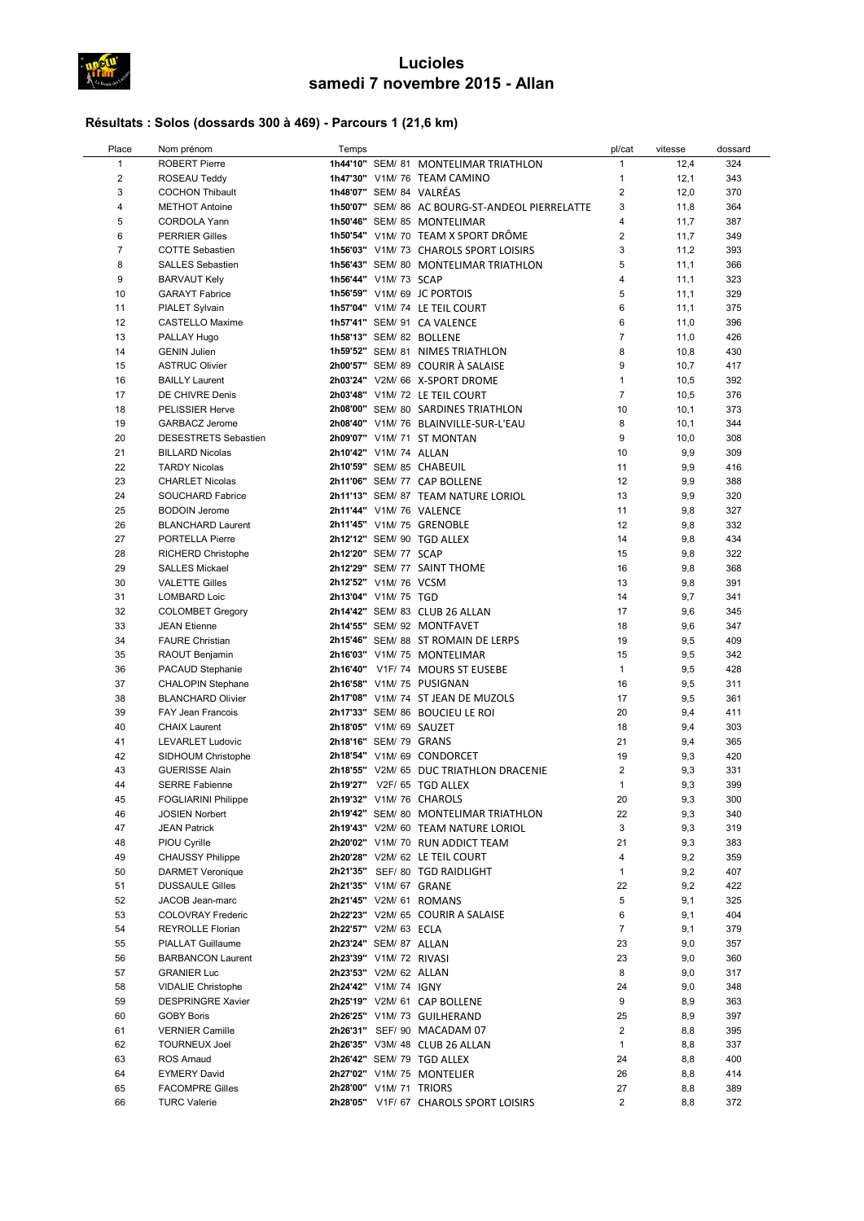

## Lucioles samedi 7 novembre 2015 - Allan

## Résultats : Solos (dossards 300 à 469) - Parcours 1 (21,6 km)

| Place          | Nom prénom                  | Temps |                         |                                                 | pl/cat         | vitesse | dossard |
|----------------|-----------------------------|-------|-------------------------|-------------------------------------------------|----------------|---------|---------|
| $\mathbf{1}$   | <b>ROBERT Pierre</b>        |       |                         | 1h44'10" SEM/ 81 MONTELIMAR TRIATHLON           | $\mathbf{1}$   | 12,4    | 324     |
| $\overline{2}$ | ROSEAU Teddy                |       |                         | 1h47'30" V1M/ 76 TEAM CAMINO                    | $\mathbf{1}$   | 12,1    | 343     |
| $\mathbf{3}$   | <b>COCHON Thibault</b>      |       |                         | 1h48'07" SEM/ 84 VALRÉAS                        | $\overline{2}$ | 12,0    | 370     |
| 4              | <b>METHOT Antoine</b>       |       |                         | 1h50'07" SEM/ 86 AC BOURG-ST-ANDEOL PIERRELATTE | 3              | 11,8    | 364     |
| 5              | <b>CORDOLA Yann</b>         |       |                         | 1h50'46" SEM/ 85 MONTELIMAR                     | $\overline{4}$ | 11,7    | 387     |
| $\,6$          | <b>PERRIER Gilles</b>       |       |                         | 1h50'54" V1M/70 TEAM X SPORT DRÔME              | $\overline{2}$ | 11,7    | 349     |
| $\overline{7}$ | <b>COTTE Sebastien</b>      |       |                         | 1h56'03" V1M/ 73 CHAROLS SPORT LOISIRS          | 3              | 11,2    | 393     |
| 8              | <b>SALLES Sebastien</b>     |       |                         | 1h56'43" SEM/ 80 MONTELIMAR TRIATHLON           | 5              | 11,1    | 366     |
| 9              | <b>BARVAUT Kely</b>         |       | 1h56'44" V1M/ 73 SCAP   |                                                 | 4              | 11,1    | 323     |
| 10             | <b>GARAYT Fabrice</b>       |       |                         | 1h56'59" V1M/ 69 JC PORTOIS                     | 5              | 11,1    | 329     |
| 11             | PIALET Sylvain              |       |                         | 1h57'04" V1M/ 74 LE TEIL COURT                  | 6              | 11,1    | 375     |
| 12             | <b>CASTELLO Maxime</b>      |       |                         | 1h57'41" SEM/ 91 CA VALENCE                     | 6              | 11,0    | 396     |
| 13             | PALLAY Hugo                 |       |                         | 1h58'13" SEM/ 82 BOLLENE                        | $\overline{7}$ | 11,0    | 426     |
| 14             | <b>GENIN Julien</b>         |       |                         | 1h59'52" SEM/81 NIMES TRIATHLON                 | 8              | 10,8    | 430     |
| 15             | <b>ASTRUC Olivier</b>       |       |                         | 2h00'57" SEM/ 89 COURIR À SALAISE               | 9              | 10,7    | 417     |
| 16             | <b>BAILLY Laurent</b>       |       |                         | 2h03'24" V2M/ 66 X-SPORT DROME                  | $\mathbf{1}$   | 10,5    | 392     |
| 17             | DE CHIVRE Denis             |       |                         | 2h03'48" V1M/ 72 LE TEIL COURT                  | $\overline{7}$ | 10,5    | 376     |
| 18             | <b>PELISSIER Herve</b>      |       |                         | 2h08'00" SEM/ 80 SARDINES TRIATHLON             | 10             | 10,1    | 373     |
| 19             | <b>GARBACZ Jerome</b>       |       |                         | 2h08'40" V1M/ 76 BLAINVILLE-SUR-L'EAU           | 8              | 10,1    | 344     |
| 20             | <b>DESESTRETS Sebastien</b> |       |                         | 2h09'07" V1M/ 71 ST MONTAN                      | 9              | 10,0    | 308     |
| 21             | <b>BILLARD Nicolas</b>      |       | 2h10'42" V1M/ 74 ALLAN  |                                                 | 10             | 9,9     | 309     |
| 22             | <b>TARDY Nicolas</b>        |       |                         | 2h10'59" SEM/ 85 CHABEUIL                       | 11             | 9,9     | 416     |
| 23             | <b>CHARLET Nicolas</b>      |       |                         | 2h11'06" SEM/ 77 CAP BOLLENE                    | 12             | 9,9     | 388     |
| 24             | SOUCHARD Fabrice            |       |                         | 2h11'13" SEM/ 87 TEAM NATURE LORIOL             | 13             | 9,9     | 320     |
| 25             | <b>BODOIN Jerome</b>        |       |                         | 2h11'44" V1M/ 76 VALENCE                        | 11             | 9,8     | 327     |
| 26             | <b>BLANCHARD Laurent</b>    |       |                         | 2h11'45" V1M/ 75 GRENOBLE                       | 12             | 9,8     | 332     |
| 27             | <b>PORTELLA Pierre</b>      |       |                         | 2h12'12" SEM/ 90 TGD ALLEX                      | 14             | 9,8     | 434     |
| 28             | RICHERD Christophe          |       | 2h12'20" SEM/ 77 SCAP   |                                                 | 15             | 9,8     | 322     |
| 29             | <b>SALLES Mickael</b>       |       |                         | 2h12'29" SEM/ 77 SAINT THOME                    | 16             | 9,8     | 368     |
| 30             | <b>VALETTE Gilles</b>       |       | 2h12'52" V1M/ 76 VCSM   |                                                 | 13             | 9,8     | 391     |
| 31             | <b>LOMBARD Loic</b>         |       | 2h13'04" V1M/ 75 TGD    |                                                 | 14             | 9,7     | 341     |
| 32             | <b>COLOMBET Gregory</b>     |       |                         | 2h14'42" SEM/ 83 CLUB 26 ALLAN                  | 17             | 9,6     | 345     |
| 33             | <b>JEAN Etienne</b>         |       |                         | 2h14'55" SEM/ 92 MONTFAVET                      | 18             | 9,6     | 347     |
| 34             | <b>FAURE Christian</b>      |       |                         | 2h15'46" SEM/88 ST ROMAIN DE LERPS              | 19             | 9,5     | 409     |
| 35             | RAOUT Benjamin              |       |                         | 2h16'03" V1M/ 75 MONTELIMAR                     | 15             | 9,5     | 342     |
| 36             | PACAUD Stephanie            |       |                         | 2h16'40" V1F/74 MOURS ST EUSEBE                 | $\mathbf{1}$   | 9,5     | 428     |
| 37             | <b>CHALOPIN Stephane</b>    |       |                         | 2h16'58" V1M/ 75 PUSIGNAN                       | 16             | 9,5     | 311     |
| 38             | <b>BLANCHARD Olivier</b>    |       |                         | 2h17'08" V1M/74 ST JEAN DE MUZOLS               | 17             | 9,5     | 361     |
| 39             | FAY Jean Francois           |       |                         | 2h17'33" SEM/ 86 BOUCIEU LE ROI                 | 20             | 9,4     | 411     |
| 40             | <b>CHAIX Laurent</b>        |       | 2h18'05" V1M/ 69 SAUZET |                                                 | 18             | 9,4     | 303     |
| 41             | <b>LEVARLET Ludovic</b>     |       | 2h18'16" SEM/ 79 GRANS  |                                                 | 21             | 9,4     | 365     |
| 42             | SIDHOUM Christophe          |       |                         | 2h18'54" V1M/ 69 CONDORCET                      | 19             | 9,3     | 420     |
| 43             | <b>GUERISSE Alain</b>       |       |                         | 2h18'55" V2M/ 65 DUC TRIATHLON DRACENIE         | $\overline{2}$ | 9,3     | 331     |
| 44             | <b>SERRE Fabienne</b>       |       |                         | 2h19'27" V2F/ 65 TGD ALLEX                      | $\mathbf{1}$   | 9,3     | 399     |
| 45             | <b>FOGLIARINI Philippe</b>  |       |                         | 2h19'32" V1M/ 76 CHAROLS                        | 20             | 9,3     | 300     |
| 46             | <b>JOSIEN Norbert</b>       |       |                         | 2h19'42" SEM/ 80 MONTELIMAR TRIATHLON           | 22             | 9,3     | 340     |
| 47             | <b>JEAN Patrick</b>         |       |                         | 2h19'43" V2M/ 60 TEAM NATURE LORIOL             | 3              | 9,3     | 319     |
| 48             | PIOU Cyrille                |       |                         | 2h20'02" V1M/70 RUN ADDICT TEAM                 | 21             | 9,3     | 383     |
| 49             | <b>CHAUSSY Philippe</b>     |       |                         | 2h20'28" V2M/ 62 LE TEIL COURT                  | 4              | 9,2     | 359     |
| 50             | <b>DARMET Veronique</b>     |       |                         | 2h21'35" SEF/ 80 TGD RAIDLIGHT                  | $\mathbf{1}$   | 9,2     | 407     |
| 51             | <b>DUSSAULE Gilles</b>      |       | 2h21'35" V1M/ 67 GRANE  |                                                 | 22             | 9,2     | 422     |
| 52             | JACOB Jean-marc             |       |                         | 2h21'45" V2M/ 61 ROMANS                         | 5              | 9,1     | 325     |
| 53             | <b>COLOVRAY Frederic</b>    |       |                         | 2h22'23" V2M/ 65 COURIR A SALAISE               | 6              | 9,1     | 404     |
| 54             | <b>REYROLLE Florian</b>     |       | 2h22'57" V2M/ 63 ECLA   |                                                 | $\overline{7}$ | 9,1     | 379     |
| 55             | PIALLAT Guillaume           |       | 2h23'24" SEM/ 87 ALLAN  |                                                 | 23             | 9,0     | 357     |
| 56             | <b>BARBANCON Laurent</b>    |       | 2h23'39" V1M/ 72 RIVASI |                                                 | 23             | 9,0     | 360     |
| 57             | <b>GRANIER Luc</b>          |       | 2h23'53" V2M/ 62 ALLAN  |                                                 | 8              | 9,0     | 317     |
| 58             | <b>VIDALIE Christophe</b>   |       | 2h24'42" V1M/ 74 IGNY   |                                                 | 24             | 9,0     | 348     |
| 59             | <b>DESPRINGRE Xavier</b>    |       |                         | 2h25'19" V2M/ 61 CAP BOLLENE                    | 9              | 8,9     | 363     |
| 60             | <b>GOBY Boris</b>           |       |                         | 2h26'25" V1M/73 GUILHERAND                      | 25             | 8,9     | 397     |
| 61             | <b>VERNIER Camille</b>      |       |                         | 2h26'31" SEF/ 90 MACADAM 07                     | $\overline{2}$ | 8,8     | 395     |
| 62             | <b>TOURNEUX Joel</b>        |       |                         | 2h26'35" V3M/ 48 CLUB 26 ALLAN                  | $\mathbf{1}$   | 8,8     | 337     |
| 63             | <b>ROS Arnaud</b>           |       |                         | 2h26'42" SEM/ 79 TGD ALLEX                      | 24             | 8,8     | 400     |
| 64             | <b>EYMERY David</b>         |       |                         | 2h27'02" V1M/ 75 MONTELIER                      | 26             | 8,8     | 414     |
| 65             | <b>FACOMPRE Gilles</b>      |       | 2h28'00" V1M/ 71 TRIORS |                                                 | 27             | 8,8     | 389     |
| 66             | <b>TURC Valerie</b>         |       |                         | 2h28'05" V1F/ 67 CHAROLS SPORT LOISIRS          | $\overline{2}$ | 8,8     | 372     |